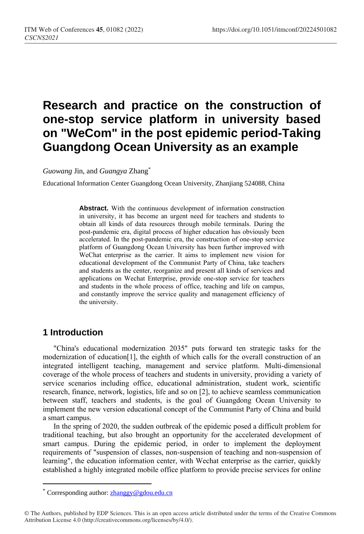# **Research and practice on the construction of one-stop service platform in university based on "WeCom" in the post epidemic period-Taking Guangdong Ocean University as an example**

*Guowang* Jin, and *Guangya* Zhang\*

Educational Information Center Guangdong Ocean University, Zhanjiang 524088, China

**Abstract.** With the continuous development of information construction in university, it has become an urgent need for teachers and students to obtain all kinds of data resources through mobile terminals. During the post-pandemic era, digital process of higher education has obviously been accelerated. In the post-pandemic era, the construction of one-stop service platform of Guangdong Ocean University has been further improved with WeChat enterprise as the carrier. It aims to implement new vision for educational development of the Communist Party of China, take teachers and students as the center, reorganize and present all kinds of services and applications on Wechat Enterprise, provide one-stop service for teachers and students in the whole process of office, teaching and life on campus, and constantly improve the service quality and management efficiency of the university.

## **1 Introduction**

 $\overline{a}$ 

"China's educational modernization 2035" puts forward ten strategic tasks for the modernization of education[1], the eighth of which calls for the overall construction of an integrated intelligent teaching, management and service platform. Multi-dimensional coverage of the whole process of teachers and students in university, providing a variety of service scenarios including office, educational administration, student work, scientific research, finance, network, logistics, life and so on [2], to achieve seamless communication between staff, teachers and students, is the goal of Guangdong Ocean University to implement the new version educational concept of the Communist Party of China and build a smart campus.

In the spring of 2020, the sudden outbreak of the epidemic posed a difficult problem for traditional teaching, but also brought an opportunity for the accelerated development of smart campus. During the epidemic period, in order to implement the deployment requirements of "suspension of classes, non-suspension of teaching and non-suspension of learning", the education information center, with Wechat enterprise as the carrier, quickly established a highly integrated mobile office platform to provide precise services for online

Corresponding author: [zhanggy@gdou.edu.cn](mailto:zhanggy@gdou.edu.cn)

<sup>©</sup> The Authors, published by EDP Sciences. This is an open access article distributed under the terms of the Creative Commons Attribution License 4.0 (http://creativecommons.org/licenses/by/4.0/).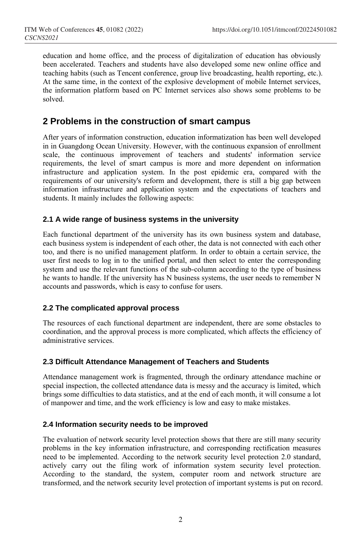education and home office, and the process of digitalization of education has obviously been accelerated. Teachers and students have also developed some new online office and teaching habits (such as Tencent conference, group live broadcasting, health reporting, etc.). At the same time, in the context of the explosive development of mobile Internet services, the information platform based on PC Internet services also shows some problems to be solved.

## **2 Problems in the construction of smart campus**

After years of information construction, education informatization has been well developed in in Guangdong Ocean University. However, with the continuous expansion of enrollment scale, the continuous improvement of teachers and students' information service requirements, the level of smart campus is more and more dependent on information infrastructure and application system. In the post epidemic era, compared with the requirements of our university's reform and development, there is still a big gap between information infrastructure and application system and the expectations of teachers and students. It mainly includes the following aspects:

### **2.1 A wide range of business systems in the university**

Each functional department of the university has its own business system and database, each business system is independent of each other, the data is not connected with each other too, and there is no unified management platform. In order to obtain a certain service, the user first needs to log in to the unified portal, and then select to enter the corresponding system and use the relevant functions of the sub-column according to the type of business he wants to handle. If the university has N business systems, the user needs to remember N accounts and passwords, which is easy to confuse for users.

#### **2.2 The complicated approval process**

The resources of each functional department are independent, there are some obstacles to coordination, and the approval process is more complicated, which affects the efficiency of administrative services.

#### **2.3 Difficult Attendance Management of Teachers and Students**

Attendance management work is fragmented, through the ordinary attendance machine or special inspection, the collected attendance data is messy and the accuracy is limited, which brings some difficulties to data statistics, and at the end of each month, it will consume a lot of manpower and time, and the work efficiency is low and easy to make mistakes.

#### **2.4 Information security needs to be improved**

The evaluation of network security level protection shows that there are still many security problems in the key information infrastructure, and corresponding rectification measures need to be implemented. According to the network security level protection 2.0 standard, actively carry out the filing work of information system security level protection. According to the standard, the system, computer room and network structure are transformed, and the network security level protection of important systems is put on record.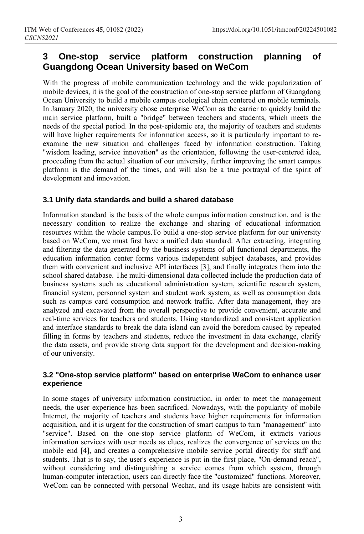# **3 One-stop service platform construction planning of Guangdong Ocean University based on WeCom**

With the progress of mobile communication technology and the wide popularization of mobile devices, it is the goal of the construction of one-stop service platform of Guangdong Ocean University to build a mobile campus ecological chain centered on mobile terminals. In January 2020, the university chose enterprise WeCom as the carrier to quickly build the main service platform, built a "bridge" between teachers and students, which meets the needs of the special period. In the post-epidemic era, the majority of teachers and students will have higher requirements for information access, so it is particularly important to reexamine the new situation and challenges faced by information construction. Taking "wisdom leading, service innovation" as the orientation, following the user-centered idea, proceeding from the actual situation of our university, further improving the smart campus platform is the demand of the times, and will also be a true portrayal of the spirit of development and innovation.

### **3.1 Unify data standards and build a shared database**

Information standard is the basis of the whole campus information construction, and is the necessary condition to realize the exchange and sharing of educational information resources within the whole campus.To build a one-stop service platform for our university based on WeCom, we must first have a unified data standard. After extracting, integrating and filtering the data generated by the business systems of all functional departments, the education information center forms various independent subject databases, and provides them with convenient and inclusive API interfaces [3], and finally integrates them into the school shared database. The multi-dimensional data collected include the production data of business systems such as educational administration system, scientific research system, financial system, personnel system and student work system, as well as consumption data such as campus card consumption and network traffic. After data management, they are analyzed and excavated from the overall perspective to provide convenient, accurate and real-time services for teachers and students. Using standardized and consistent application and interface standards to break the data island can avoid the boredom caused by repeated filling in forms by teachers and students, reduce the investment in data exchange, clarify the data assets, and provide strong data support for the development and decision-making of our university.

#### **3.2 "One-stop service platform" based on enterprise WeCom to enhance user experience**

In some stages of university information construction, in order to meet the management needs, the user experience has been sacrificed. Nowadays, with the popularity of mobile Internet, the majority of teachers and students have higher requirements for information acquisition, and it is urgent for the construction of smart campus to turn "management" into "service". Based on the one-stop service platform of WeCom, it extracts various information services with user needs as clues, realizes the convergence of services on the mobile end [4], and creates a comprehensive mobile service portal directly for staff and students. That is to say, the user's experience is put in the first place, "On-demand reach", without considering and distinguishing a service comes from which system, through human-computer interaction, users can directly face the "customized" functions. Moreover, WeCom can be connected with personal Wechat, and its usage habits are consistent with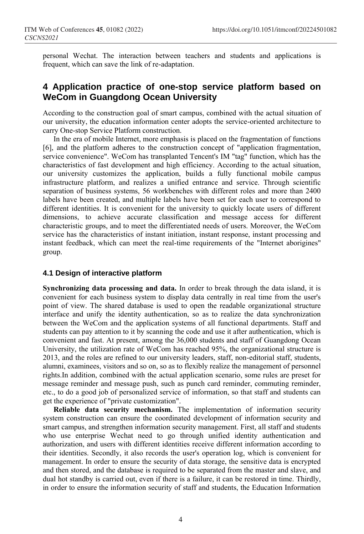personal Wechat. The interaction between teachers and students and applications is frequent, which can save the link of re-adaptation.

## **4 Application practice of one-stop service platform based on WeCom in Guangdong Ocean University**

According to the construction goal of smart campus, combined with the actual situation of our university, the education information center adopts the service-oriented architecture to carry One-stop Service Platform construction.

In the era of mobile Internet, more emphasis is placed on the fragmentation of functions [6], and the platform adheres to the construction concept of "application fragmentation, service convenience". WeCom has transplanted Tencent's IM "tag" function, which has the characteristics of fast development and high efficiency. According to the actual situation, our university customizes the application, builds a fully functional mobile campus infrastructure platform, and realizes a unified entrance and service. Through scientific separation of business systems, 56 workbenches with different roles and more than 2400 labels have been created, and multiple labels have been set for each user to correspond to different identities. It is convenient for the university to quickly locate users of different dimensions, to achieve accurate classification and message access for different characteristic groups, and to meet the differentiated needs of users. Moreover, the WeCom service has the characteristics of instant initiation, instant response, instant processing and instant feedback, which can meet the real-time requirements of the "Internet aborigines" group.

#### **4.1 Design of interactive platform**

**Synchronizing data processing and data.** In order to break through the data island, it is convenient for each business system to display data centrally in real time from the user's point of view. The shared database is used to open the readable organizational structure interface and unify the identity authentication, so as to realize the data synchronization between the WeCom and the application systems of all functional departments. Staff and students can pay attention to it by scanning the code and use it after authentication, which is convenient and fast. At present, among the 36,000 students and staff of Guangdong Ocean University, the utilization rate of WeCom has reached 95%, the organizational structure is 2013, and the roles are refined to our university leaders, staff, non-editorial staff, students, alumni, examinees, visitors and so on, so as to flexibly realize the management of personnel rights.In addition, combined with the actual application scenario, some rules are preset for message reminder and message push, such as punch card reminder, commuting reminder, etc., to do a good job of personalized service of information, so that staff and students can get the experience of "private customization".

**Reliable data security mechanism.** The implementation of information security system construction can ensure the coordinated development of information security and smart campus, and strengthen information security management. First, all staff and students who use enterprise Wechat need to go through unified identity authentication and authorization, and users with different identities receive different information according to their identities. Secondly, it also records the user's operation log, which is convenient for management. In order to ensure the security of data storage, the sensitive data is encrypted and then stored, and the database is required to be separated from the master and slave, and dual hot standby is carried out, even if there is a failure, it can be restored in time. Thirdly, in order to ensure the information security of staff and students, the Education Information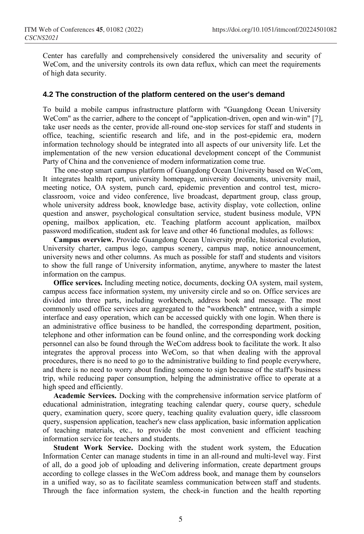Center has carefully and comprehensively considered the universality and security of WeCom, and the university controls its own data reflux, which can meet the requirements of high data security.

#### **4.2 The construction of the platform centered on the user's demand**

To build a mobile campus infrastructure platform with "Guangdong Ocean University WeCom" as the carrier, adhere to the concept of "application-driven, open and win-win" [7], take user needs as the center, provide all-round one-stop services for staff and students in office, teaching, scientific research and life, and in the post-epidemic era, modern information technology should be integrated into all aspects of our university life. Let the implementation of the new version educational development concept of the Communist Party of China and the convenience of modern informatization come true.

The one-stop smart campus platform of Guangdong Ocean University based on WeCom, It integrates health report, university homepage, university documents, university mail, meeting notice, OA system, punch card, epidemic prevention and control test, microclassroom, voice and video conference, live broadcast, department group, class group, whole university address book, knowledge base, activity display, vote collection, online question and answer, psychological consultation service, student business module, VPN opening, mailbox application, etc. Teaching platform account application, mailbox password modification, student ask for leave and other 46 functional modules, as follows:

**Campus overview.** Provide Guangdong Ocean University profile, historical evolution, University charter, campus logo, campus scenery, campus map, notice announcement, university news and other columns. As much as possible for staff and students and visitors to show the full range of University information, anytime, anywhere to master the latest information on the campus.

**Office services.** Including meeting notice, documents, docking OA system, mail system, campus access face information system, my university circle and so on. Office services are divided into three parts, including workbench, address book and message. The most commonly used office services are aggregated to the "workbench" entrance, with a simple interface and easy operation, which can be accessed quickly with one login. When there is an administrative office business to be handled, the corresponding department, position, telephone and other information can be found online, and the corresponding work docking personnel can also be found through the WeCom address book to facilitate the work. It also integrates the approval process into WeCom, so that when dealing with the approval procedures, there is no need to go to the administrative building to find people everywhere, and there is no need to worry about finding someone to sign because of the staff's business trip, while reducing paper consumption, helping the administrative office to operate at a high speed and efficiently.

**Academic Services.** Docking with the comprehensive information service platform of educational administration, integrating teaching calendar query, course query, schedule query, examination query, score query, teaching quality evaluation query, idle classroom query, suspension application, teacher's new class application, basic information application of teaching materials, etc., to provide the most convenient and efficient teaching information service for teachers and students.

**Student Work Service.** Docking with the student work system, the Education Information Center can manage students in time in an all-round and multi-level way. First of all, do a good job of uploading and delivering information, create department groups according to college classes in the WeCom address book, and manage them by counselors in a unified way, so as to facilitate seamless communication between staff and students. Through the face information system, the check-in function and the health reporting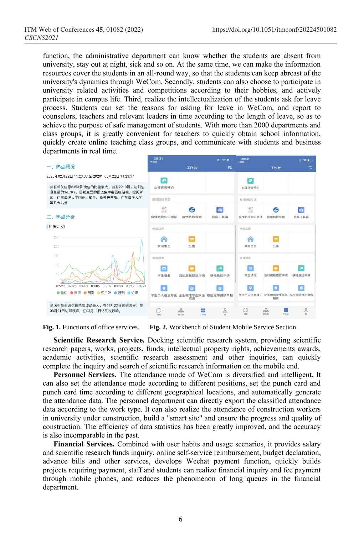function, the administrative department can know whether the students are absent from university, stay out at night, sick and so on. At the same time, we can make the information resources cover the students in an all-round way, so that the students can keep abreast of the university's dynamics through WeCom. Secondly, students can also choose to participate in university related activities and competitions according to their hobbies, and actively participate in campus life. Third, realize the intellectualization of the students ask for leave process. Students can set the reasons for asking for leave in WeCom, and report to counselors, teachers and relevant leaders in time according to the length of leave, so as to achieve the purpose of safe management of students. With more than 2000 departments and class groups, it is greatly convenient for teachers to quickly obtain school information, quickly create online teaching class groups, and communicate with students and business departments in real time.



**Fig. 1.** Functions of office services. **Fig. 2.** Workbench of Student Mobile Service Section.

**Scientific Research Service.** Docking scientific research system, providing scientific research papers, works, projects, funds, intellectual property rights, achievements awards, academic activities, scientific research assessment and other inquiries, can quickly complete the inquiry and search of scientific research information on the mobile end.

**Personnel Services.** The attendance mode of WeCom is diversified and intelligent. It can also set the attendance mode according to different positions, set the punch card and punch card time according to different geographical locations, and automatically generate the attendance data. The personnel department can directly export the classified attendance data according to the work type. It can also realize the attendance of construction workers in university under construction, build a "smart site" and ensure the progress and quality of construction. The efficiency of data statistics has been greatly improved, and the accuracy is also incomparable in the past.

**Financial Services.** Combined with user habits and usage scenarios, it provides salary and scientific research funds inquiry, online self-service reimbursement, budget declaration, advance bills and other services, develops Wechat payment function, quickly builds projects requiring payment, staff and students can realize financial inquiry and fee payment through mobile phones, and reduces the phenomenon of long queues in the financial department.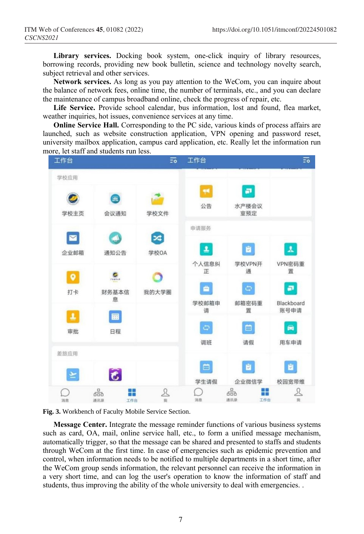Library services. Docking book system, one-click inquiry of library resources, borrowing records, providing new book bulletin, science and technology novelty search, subject retrieval and other services.

**Network services.** As long as you pay attention to the WeCom, you can inquire about the balance of network fees, online time, the number of terminals, etc., and you can declare the maintenance of campus broadband online, check the progress of repair, etc.

Life Service. Provide school calendar, bus information, lost and found, flea market, weather inquiries, hot issues, convenience services at any time.

**Online Service Hall.** Corresponding to the PC side, various kinds of process affairs are launched, such as website construction application, VPN opening and password reset, university mailbox application, campus card application, etc. Really let the information run more, let staff and students run less.





**Message Center.** Integrate the message reminder functions of various business systems such as card, OA, mail, online service hall, etc., to form a unified message mechanism, automatically trigger, so that the message can be shared and presented to staffs and students through WeCom at the first time. In case of emergencies such as epidemic prevention and control, when information needs to be notified to multiple departments in a short time, after the WeCom group sends information, the relevant personnel can receive the information in a very short time, and can log the user's operation to know the information of staff and students, thus improving the ability of the whole university to deal with emergencies. .